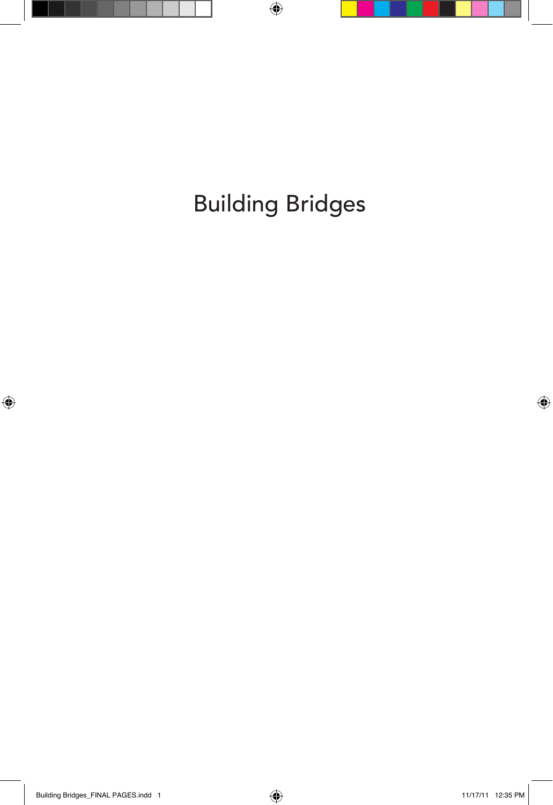Building Bridges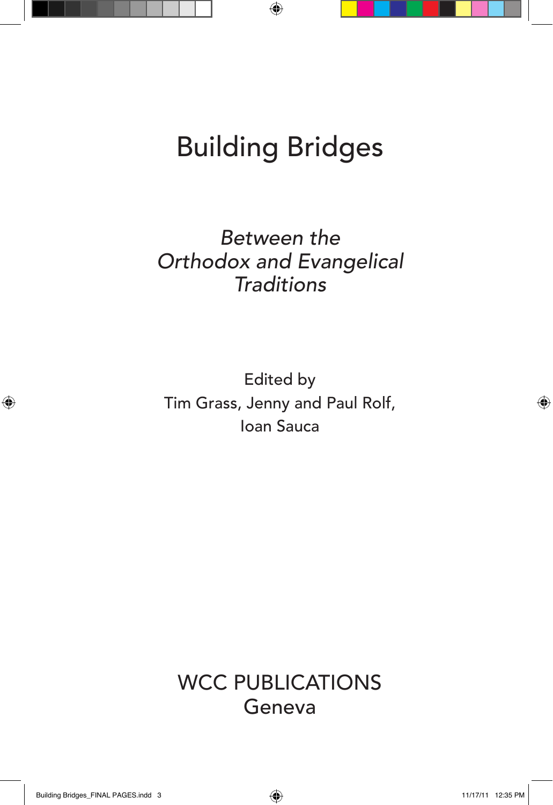# Building Bridges

*Between the Orthodox and Evangelical Traditions*

Edited by Tim Grass, Jenny and Paul Rolf, Ioan Sauca

WCC PUBLICATIONS Geneva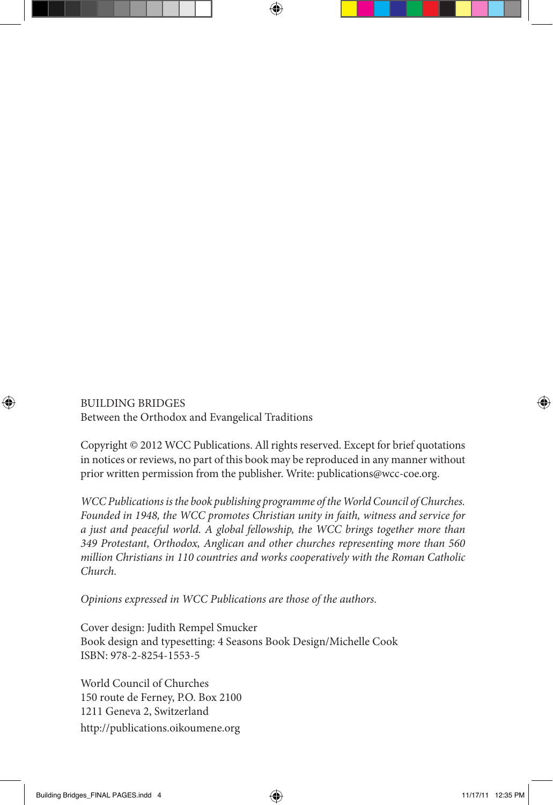BUILDING BRIDGES Between the Orthodox and Evangelical Traditions

Copyright © 2012 WCC Publications. All rights reserved. Except for brief quotations in notices or reviews, no part of this book may be reproduced in any manner without prior written permission from the publisher. Write: publications@wcc-coe.org.

*WCC Publications is the book publishing programme of the World Council of Churches. Founded in 1948, the WCC promotes Christian unity in faith, witness and service for a just and peaceful world. A global fellowship, the WCC brings together more than 349 Protestant, Orthodox, Anglican and other churches representing more than 560 million Christians in 110 countries and works cooperatively with the Roman Catholic Church.*

*Opinions expressed in WCC Publications are those of the authors.*

Cover design: Judith Rempel Smucker Book design and typesetting: 4 Seasons Book Design/Michelle Cook ISBN: 978-2-8254-1553-5

World Council of Churches 150 route de Ferney, P.O. Box 2100 1211 Geneva 2, Switzerland http://publications.oikoumene.org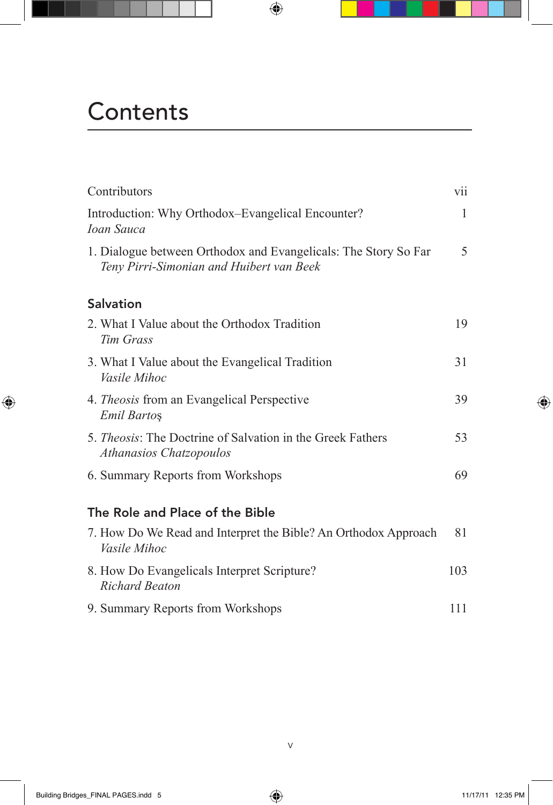## **Contents**

| Contributors                                                                                                | vii |
|-------------------------------------------------------------------------------------------------------------|-----|
| Introduction: Why Orthodox-Evangelical Encounter?<br><b>Ioan Sauca</b>                                      | 1   |
| 1. Dialogue between Orthodox and Evangelicals: The Story So Far<br>Teny Pirri-Simonian and Huibert van Beek | 5   |
| <b>Salvation</b>                                                                                            |     |
| 2. What I Value about the Orthodox Tradition<br>Tim Grass                                                   | 19  |
| 3. What I Value about the Evangelical Tradition<br><i>Vasile Mihoc</i>                                      | 31  |
| 4. <i>Theosis</i> from an Evangelical Perspective<br><b>Emil Bartos</b>                                     | 39  |
| 5. Theosis: The Doctrine of Salvation in the Greek Fathers<br><b>Athanasios Chatzopoulos</b>                | 53  |
| 6. Summary Reports from Workshops                                                                           | 69  |
| The Role and Place of the Bible                                                                             |     |
| 7. How Do We Read and Interpret the Bible? An Orthodox Approach<br><i>Vasile Mihoc</i>                      | 81  |
| 8. How Do Evangelicals Interpret Scripture?<br><b>Richard Beaton</b>                                        | 103 |
| 9. Summary Reports from Workshops                                                                           | 111 |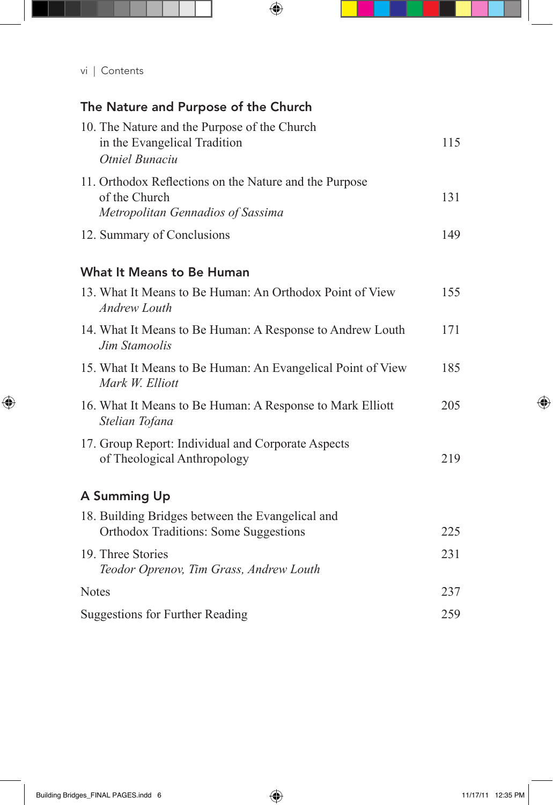#### The Nature and Purpose of the Church

| 10. The Nature and the Purpose of the Church<br>in the Evangelical Tradition<br>Otniel Bunaciu               | 115 |
|--------------------------------------------------------------------------------------------------------------|-----|
| 11. Orthodox Reflections on the Nature and the Purpose<br>of the Church<br>Metropolitan Gennadios of Sassima | 131 |
| 12. Summary of Conclusions                                                                                   | 149 |
| <b>What It Means to Be Human</b>                                                                             |     |
| 13. What It Means to Be Human: An Orthodox Point of View<br><b>Andrew Louth</b>                              | 155 |
| 14. What It Means to Be Human: A Response to Andrew Louth<br>Jim Stamoolis                                   | 171 |
| 15. What It Means to Be Human: An Evangelical Point of View<br>Mark W. Elliott                               | 185 |
| 16. What It Means to Be Human: A Response to Mark Elliott<br>Stelian Tofana                                  | 205 |
| 17. Group Report: Individual and Corporate Aspects<br>of Theological Anthropology                            | 219 |
| A Summing Up                                                                                                 |     |
| 18. Building Bridges between the Evangelical and<br><b>Orthodox Traditions: Some Suggestions</b>             | 225 |
| 19. Three Stories<br>Teodor Oprenov, Tim Grass, Andrew Louth                                                 | 231 |
| <b>Notes</b>                                                                                                 | 237 |
| <b>Suggestions for Further Reading</b>                                                                       | 259 |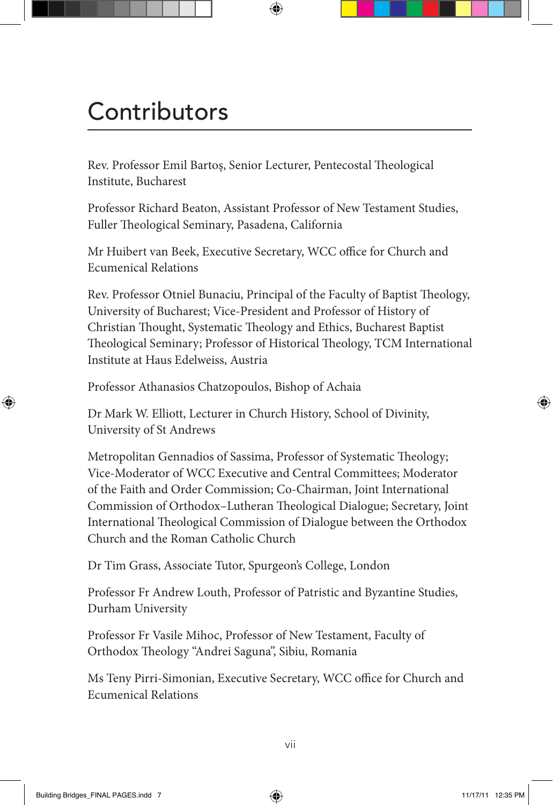## **Contributors**

Rev. Professor Emil Bartoş, Senior Lecturer, Pentecostal Theological Institute, Bucharest

Professor Richard Beaton, Assistant Professor of New Testament Studies, Fuller Theological Seminary, Pasadena, California

Mr Huibert van Beek, Executive Secretary, WCC office for Church and Ecumenical Relations

Rev. Professor Otniel Bunaciu, Principal of the Faculty of Baptist Theology, University of Bucharest; Vice-President and Professor of History of Christian Thought, Systematic Theology and Ethics, Bucharest Baptist Theological Seminary; Professor of Historical Theology, TCM International Institute at Haus Edelweiss, Austria

Professor Athanasios Chatzopoulos, Bishop of Achaia

Dr Mark W. Elliott, Lecturer in Church History, School of Divinity, University of St Andrews

Metropolitan Gennadios of Sassima, Professor of Systematic Theology; Vice-Moderator of WCC Executive and Central Committees; Moderator of the Faith and Order Commission; Co-Chairman, Joint International Commission of Orthodox–Lutheran Theological Dialogue; Secretary, Joint International Theological Commission of Dialogue between the Orthodox Church and the Roman Catholic Church

Dr Tim Grass, Associate Tutor, Spurgeon's College, London

Professor Fr Andrew Louth, Professor of Patristic and Byzantine Studies, Durham University

Professor Fr Vasile Mihoc, Professor of New Testament, Faculty of Orthodox Theology "Andrei Saguna", Sibiu, Romania

Ms Teny Pirri-Simonian, Executive Secretary, WCC office for Church and Ecumenical Relations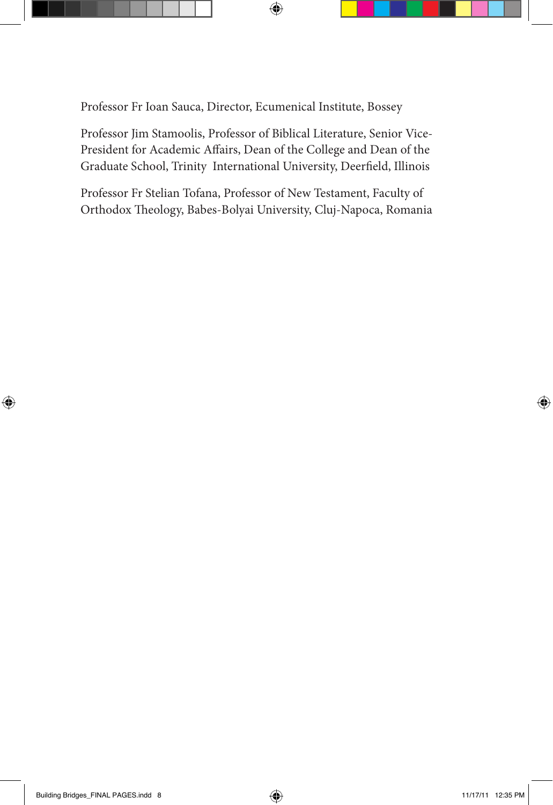Professor Fr Ioan Sauca, Director, Ecumenical Institute, Bossey

Professor Jim Stamoolis, Professor of Biblical Literature, Senior Vice-President for Academic Affairs, Dean of the College and Dean of the Graduate School, Trinity International University, Deerfield, Illinois

Professor Fr Stelian Tofana, Professor of New Testament, Faculty of Orthodox Theology, Babes-Bolyai University, Cluj-Napoca, Romania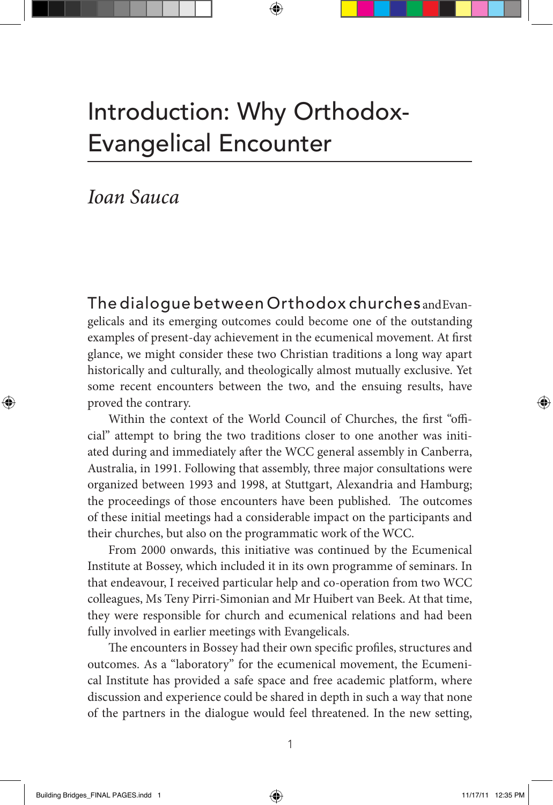## Introduction: Why Orthodox-Evangelical Encounter

*Ioan Sauca*

The dialoque between Orthodox churches and Evangelicals and its emerging outcomes could become one of the outstanding examples of present-day achievement in the ecumenical movement. At first glance, we might consider these two Christian traditions a long way apart historically and culturally, and theologically almost mutually exclusive. Yet some recent encounters between the two, and the ensuing results, have proved the contrary.

Within the context of the World Council of Churches, the first "official" attempt to bring the two traditions closer to one another was initiated during and immediately after the WCC general assembly in Canberra, Australia, in 1991. Following that assembly, three major consultations were organized between 1993 and 1998, at Stuttgart, Alexandria and Hamburg; the proceedings of those encounters have been published. The outcomes of these initial meetings had a considerable impact on the participants and their churches, but also on the programmatic work of the WCC.

From 2000 onwards, this initiative was continued by the Ecumenical Institute at Bossey, which included it in its own programme of seminars. In that endeavour, I received particular help and co-operation from two WCC colleagues, Ms Teny Pirri-Simonian and Mr Huibert van Beek. At that time, they were responsible for church and ecumenical relations and had been fully involved in earlier meetings with Evangelicals.

The encounters in Bossey had their own specific profiles, structures and outcomes. As a "laboratory" for the ecumenical movement, the Ecumenical Institute has provided a safe space and free academic platform, where discussion and experience could be shared in depth in such a way that none of the partners in the dialogue would feel threatened. In the new setting,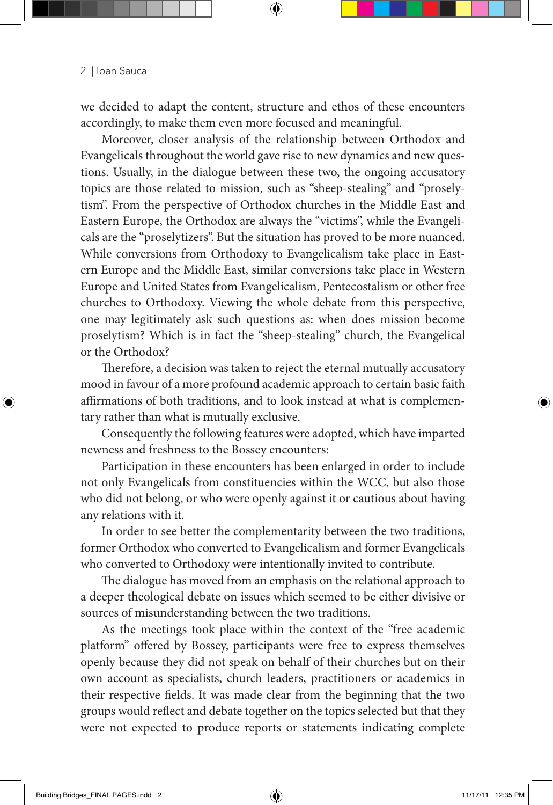we decided to adapt the content, structure and ethos of these encounters accordingly, to make them even more focused and meaningful.

Moreover, closer analysis of the relationship between Orthodox and Evangelicals throughout the world gave rise to new dynamics and new questions. Usually, in the dialogue between these two, the ongoing accusatory topics are those related to mission, such as "sheep-stealing" and "proselytism". From the perspective of Orthodox churches in the Middle East and Eastern Europe, the Orthodox are always the "victims", while the Evangelicals are the "proselytizers". But the situation has proved to be more nuanced. While conversions from Orthodoxy to Evangelicalism take place in Eastern Europe and the Middle East, similar conversions take place in Western Europe and United States from Evangelicalism, Pentecostalism or other free churches to Orthodoxy. Viewing the whole debate from this perspective, one may legitimately ask such questions as: when does mission become proselytism? Which is in fact the "sheep-stealing" church, the Evangelical or the Orthodox?

Therefore, a decision was taken to reject the eternal mutually accusatory mood in favour of a more profound academic approach to certain basic faith affirmations of both traditions, and to look instead at what is complementary rather than what is mutually exclusive.

Consequently the following features were adopted, which have imparted newness and freshness to the Bossey encounters:

Participation in these encounters has been enlarged in order to include not only Evangelicals from constituencies within the WCC, but also those who did not belong, or who were openly against it or cautious about having any relations with it.

In order to see better the complementarity between the two traditions, former Orthodox who converted to Evangelicalism and former Evangelicals who converted to Orthodoxy were intentionally invited to contribute.

The dialogue has moved from an emphasis on the relational approach to a deeper theological debate on issues which seemed to be either divisive or sources of misunderstanding between the two traditions.

As the meetings took place within the context of the "free academic platform" offered by Bossey, participants were free to express themselves openly because they did not speak on behalf of their churches but on their own account as specialists, church leaders, practitioners or academics in their respective fields. It was made clear from the beginning that the two groups would reflect and debate together on the topics selected but that they were not expected to produce reports or statements indicating complete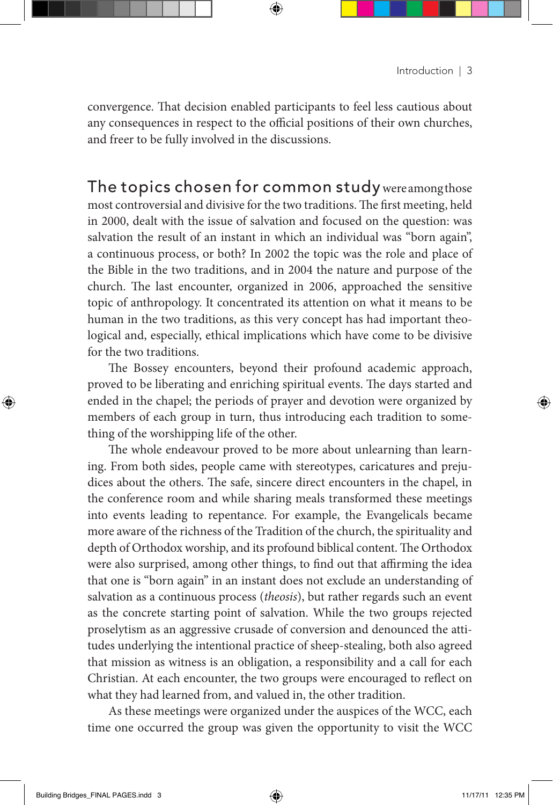convergence. That decision enabled participants to feel less cautious about any consequences in respect to the official positions of their own churches, and freer to be fully involved in the discussions.

The topics chosen for common study were among those most controversial and divisive for the two traditions. The first meeting, held in 2000, dealt with the issue of salvation and focused on the question: was salvation the result of an instant in which an individual was "born again", a continuous process, or both? In 2002 the topic was the role and place of the Bible in the two traditions, and in 2004 the nature and purpose of the church. The last encounter, organized in 2006, approached the sensitive topic of anthropology. It concentrated its attention on what it means to be human in the two traditions, as this very concept has had important theological and, especially, ethical implications which have come to be divisive for the two traditions.

The Bossey encounters, beyond their profound academic approach, proved to be liberating and enriching spiritual events. The days started and ended in the chapel; the periods of prayer and devotion were organized by members of each group in turn, thus introducing each tradition to something of the worshipping life of the other.

The whole endeavour proved to be more about unlearning than learning. From both sides, people came with stereotypes, caricatures and prejudices about the others. The safe, sincere direct encounters in the chapel, in the conference room and while sharing meals transformed these meetings into events leading to repentance. For example, the Evangelicals became more aware of the richness of the Tradition of the church, the spirituality and depth of Orthodox worship, and its profound biblical content. The Orthodox were also surprised, among other things, to find out that affirming the idea that one is "born again" in an instant does not exclude an understanding of salvation as a continuous process (*theosis*), but rather regards such an event as the concrete starting point of salvation. While the two groups rejected proselytism as an aggressive crusade of conversion and denounced the attitudes underlying the intentional practice of sheep-stealing, both also agreed that mission as witness is an obligation, a responsibility and a call for each Christian. At each encounter, the two groups were encouraged to reflect on what they had learned from, and valued in, the other tradition.

As these meetings were organized under the auspices of the WCC, each time one occurred the group was given the opportunity to visit the WCC